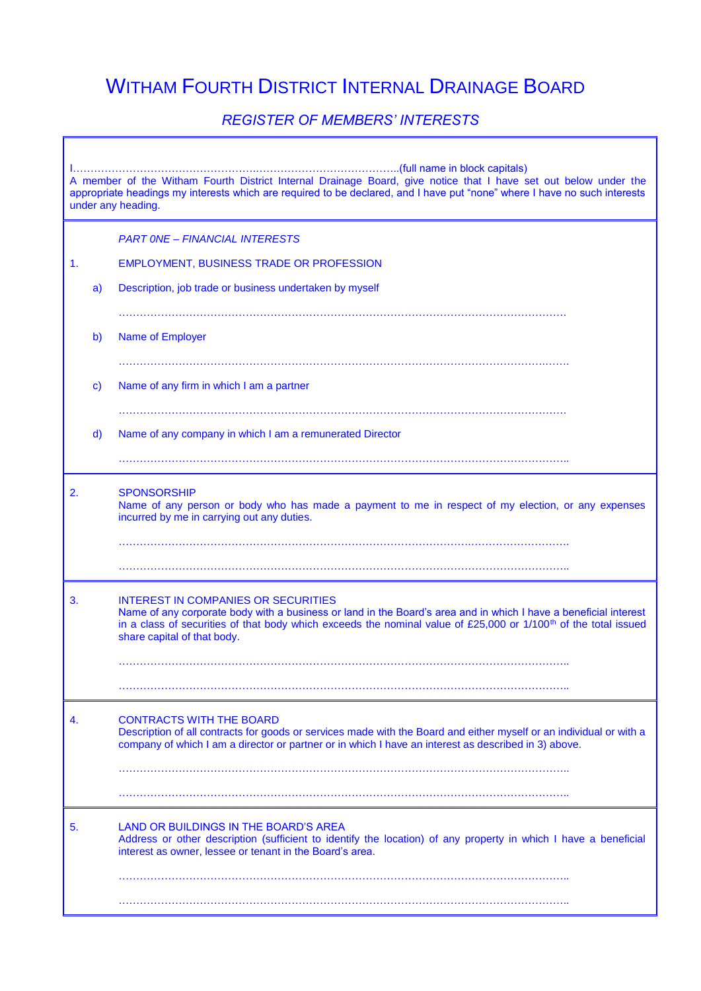## WITHAM FOURTH DISTRICT INTERNAL DRAINAGE BOARD

## *REGISTER OF MEMBERS' INTERESTS*

 $\mathbb T$ 

٦

| A member of the Witham Fourth District Internal Drainage Board, give notice that I have set out below under the<br>appropriate headings my interests which are required to be declared, and I have put "none" where I have no such interests<br>under any heading. |              |                                                                                                                                                                                                                                                                                                                              |  |
|--------------------------------------------------------------------------------------------------------------------------------------------------------------------------------------------------------------------------------------------------------------------|--------------|------------------------------------------------------------------------------------------------------------------------------------------------------------------------------------------------------------------------------------------------------------------------------------------------------------------------------|--|
|                                                                                                                                                                                                                                                                    |              | <b>PART ONE - FINANCIAL INTERESTS</b>                                                                                                                                                                                                                                                                                        |  |
| 1.                                                                                                                                                                                                                                                                 |              | EMPLOYMENT, BUSINESS TRADE OR PROFESSION                                                                                                                                                                                                                                                                                     |  |
|                                                                                                                                                                                                                                                                    | a)           | Description, job trade or business undertaken by myself                                                                                                                                                                                                                                                                      |  |
|                                                                                                                                                                                                                                                                    |              |                                                                                                                                                                                                                                                                                                                              |  |
|                                                                                                                                                                                                                                                                    | $\mathsf{b}$ | Name of Employer                                                                                                                                                                                                                                                                                                             |  |
|                                                                                                                                                                                                                                                                    | $\mathbf{c}$ | Name of any firm in which I am a partner                                                                                                                                                                                                                                                                                     |  |
|                                                                                                                                                                                                                                                                    |              |                                                                                                                                                                                                                                                                                                                              |  |
|                                                                                                                                                                                                                                                                    | d)           | Name of any company in which I am a remunerated Director                                                                                                                                                                                                                                                                     |  |
|                                                                                                                                                                                                                                                                    |              |                                                                                                                                                                                                                                                                                                                              |  |
| 2.                                                                                                                                                                                                                                                                 |              | <b>SPONSORSHIP</b><br>Name of any person or body who has made a payment to me in respect of my election, or any expenses<br>incurred by me in carrying out any duties.                                                                                                                                                       |  |
|                                                                                                                                                                                                                                                                    |              |                                                                                                                                                                                                                                                                                                                              |  |
|                                                                                                                                                                                                                                                                    |              |                                                                                                                                                                                                                                                                                                                              |  |
| 3.                                                                                                                                                                                                                                                                 |              | <b>INTEREST IN COMPANIES OR SECURITIES</b><br>Name of any corporate body with a business or land in the Board's area and in which I have a beneficial interest<br>in a class of securities of that body which exceeds the nominal value of £25,000 or 1/100 <sup>th</sup> of the total issued<br>share capital of that body. |  |
|                                                                                                                                                                                                                                                                    |              |                                                                                                                                                                                                                                                                                                                              |  |
|                                                                                                                                                                                                                                                                    |              |                                                                                                                                                                                                                                                                                                                              |  |
| 4.                                                                                                                                                                                                                                                                 |              | <b>CONTRACTS WITH THE BOARD</b><br>Description of all contracts for goods or services made with the Board and either myself or an individual or with a<br>company of which I am a director or partner or in which I have an interest as described in 3) above.                                                               |  |
|                                                                                                                                                                                                                                                                    |              |                                                                                                                                                                                                                                                                                                                              |  |
|                                                                                                                                                                                                                                                                    |              |                                                                                                                                                                                                                                                                                                                              |  |
| 5.                                                                                                                                                                                                                                                                 |              | LAND OR BUILDINGS IN THE BOARD'S AREA<br>Address or other description (sufficient to identify the location) of any property in which I have a beneficial<br>interest as owner, lessee or tenant in the Board's area.                                                                                                         |  |
|                                                                                                                                                                                                                                                                    |              |                                                                                                                                                                                                                                                                                                                              |  |
|                                                                                                                                                                                                                                                                    |              |                                                                                                                                                                                                                                                                                                                              |  |